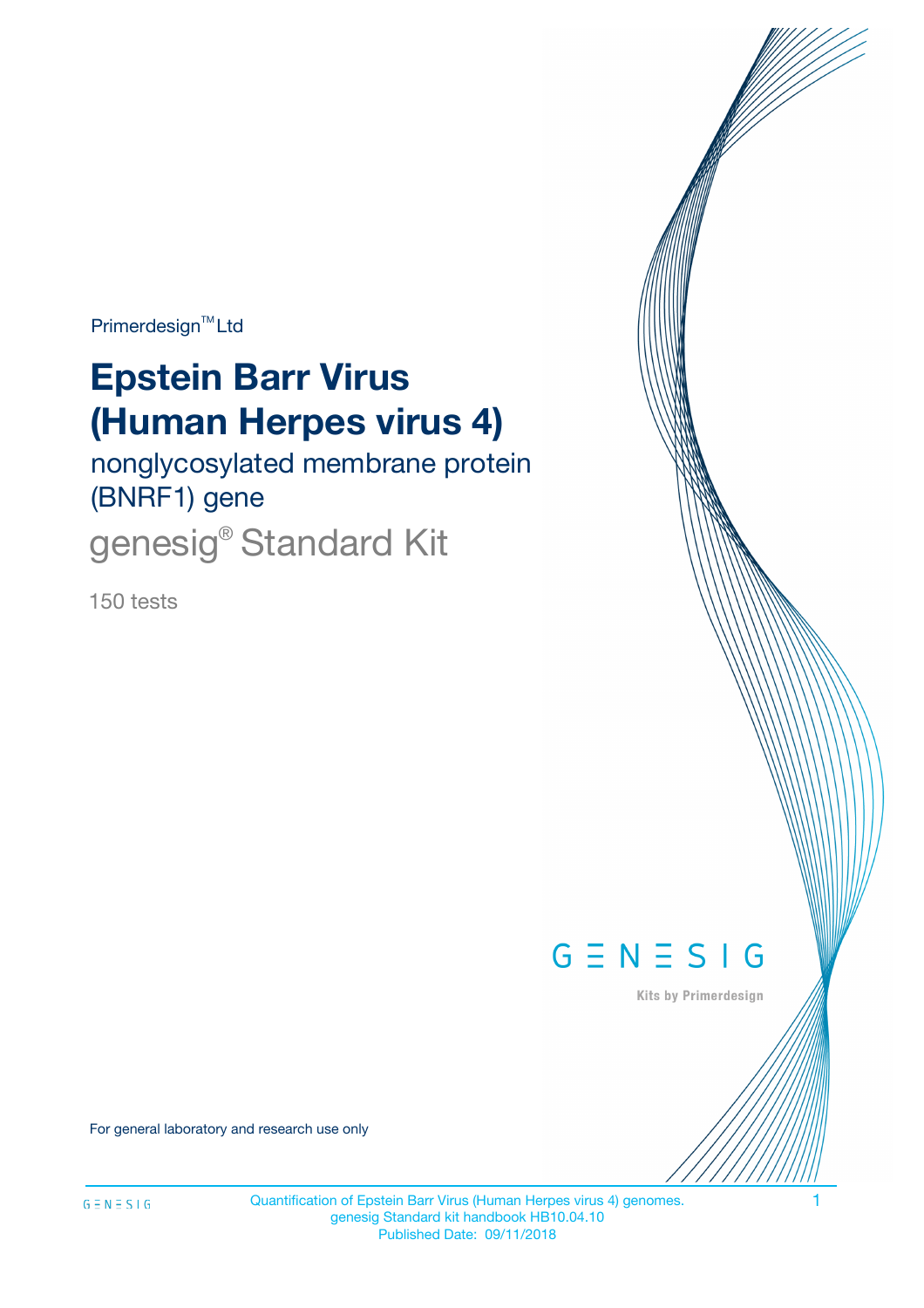Primerdesign<sup>™</sup>Ltd

# **Epstein Barr Virus (Human Herpes virus 4)**

nonglycosylated membrane protein (BNRF1) gene

genesig<sup>®</sup> Standard Kit

150 tests



Kits by Primerdesign

For general laboratory and research use only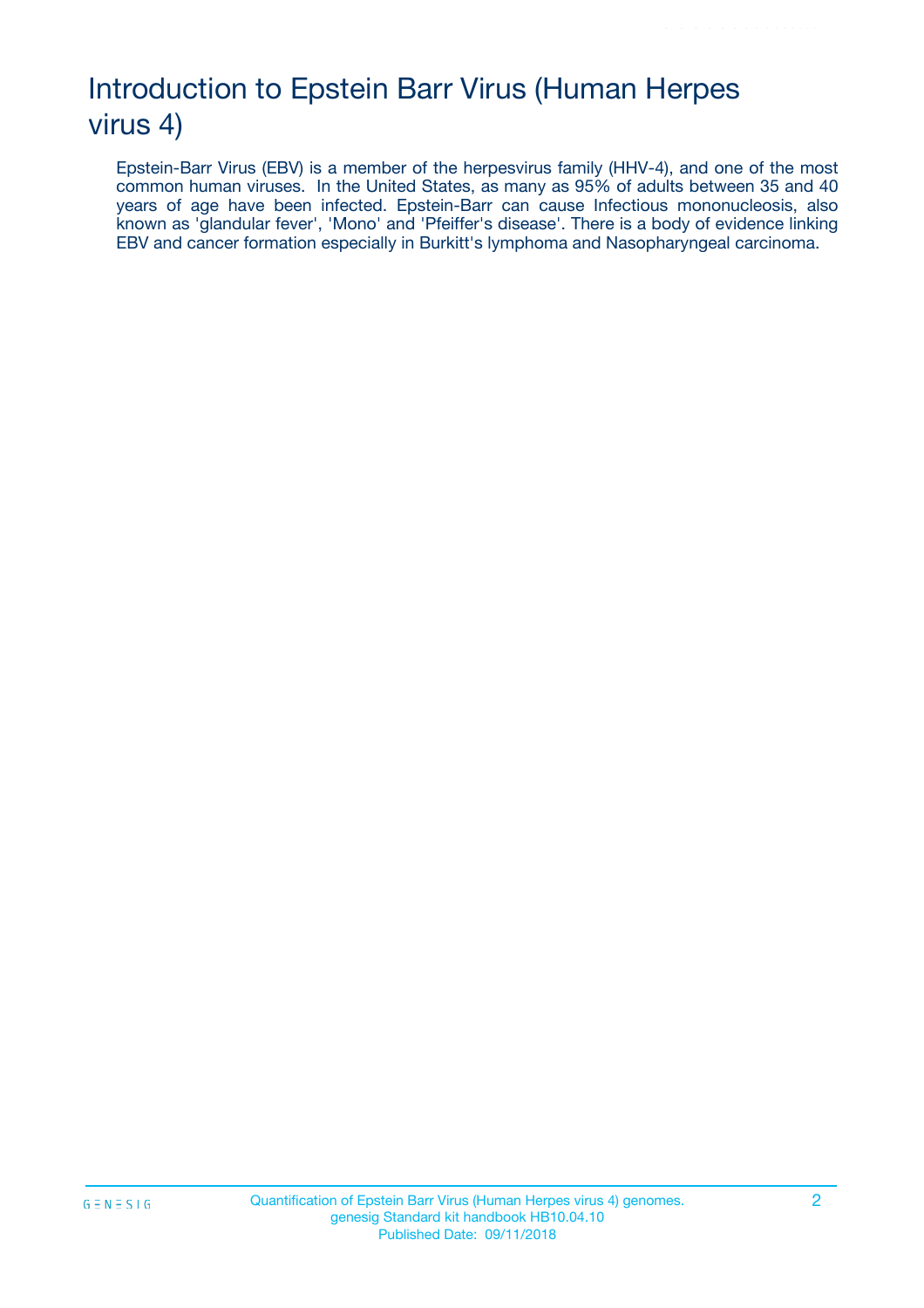# Introduction to Epstein Barr Virus (Human Herpes virus 4)

Epstein-Barr Virus (EBV) is a member of the herpesvirus family (HHV-4), and one of the most common human viruses. In the United States, as many as 95% of adults between 35 and 40 years of age have been infected. Epstein-Barr can cause Infectious mononucleosis, also known as 'glandular fever', 'Mono' and 'Pfeiffer's disease'. There is a body of evidence linking EBV and cancer formation especially in Burkitt's lymphoma and Nasopharyngeal carcinoma.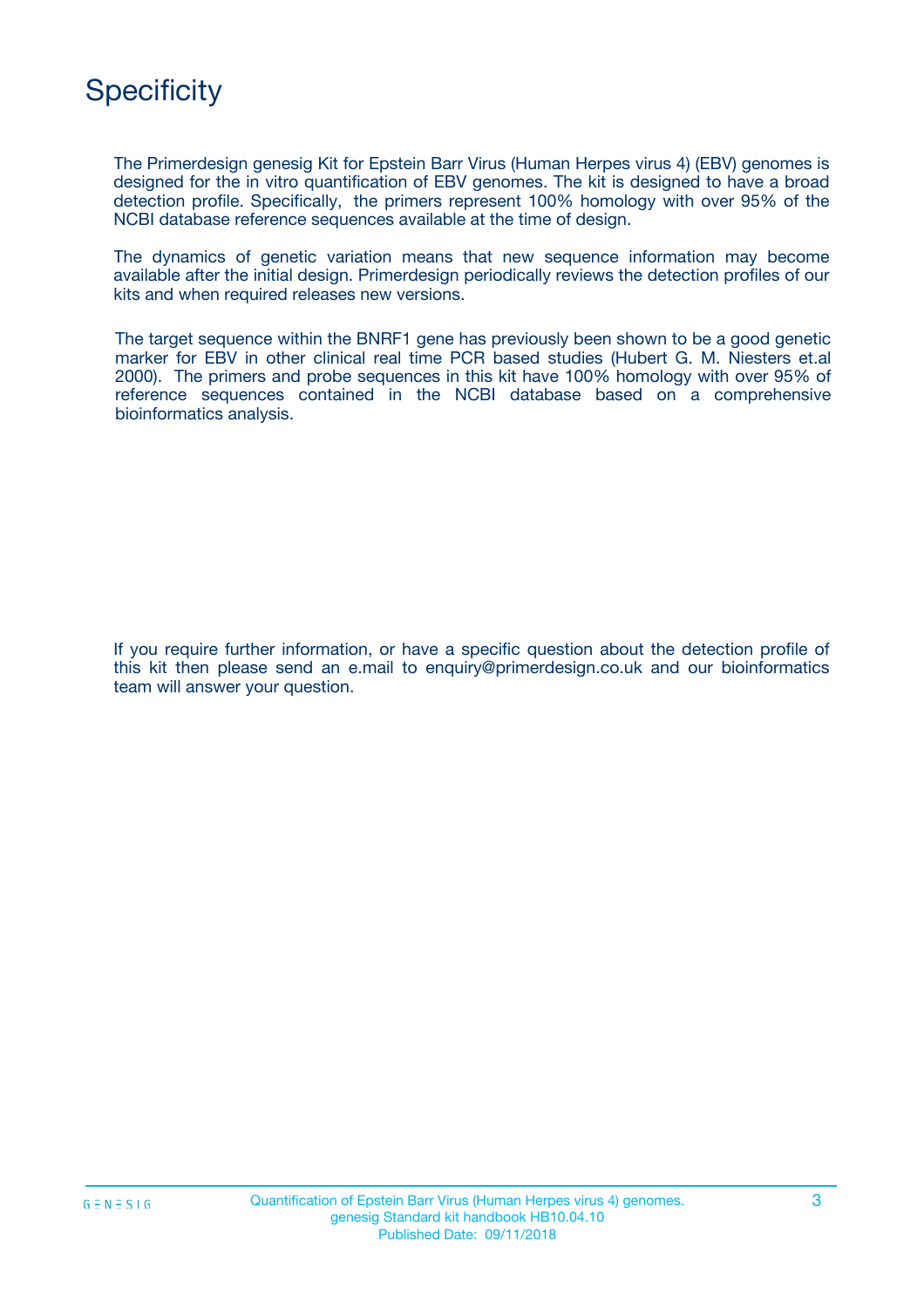# **Specificity**

The Primerdesign genesig Kit for Epstein Barr Virus (Human Herpes virus 4) (EBV) genomes is designed for the in vitro quantification of EBV genomes. The kit is designed to have a broad detection profile. Specifically, the primers represent 100% homology with over 95% of the NCBI database reference sequences available at the time of design.

The dynamics of genetic variation means that new sequence information may become available after the initial design. Primerdesign periodically reviews the detection profiles of our kits and when required releases new versions.

The target sequence within the BNRF1 gene has previously been shown to be a good genetic marker for EBV in other clinical real time PCR based studies (Hubert G. M. Niesters et.al 2000). The primers and probe sequences in this kit have 100% homology with over 95% of reference sequences contained in the NCBI database based on a comprehensive bioinformatics analysis.

If you require further information, or have a specific question about the detection profile of this kit then please send an e.mail to enquiry@primerdesign.co.uk and our bioinformatics team will answer your question.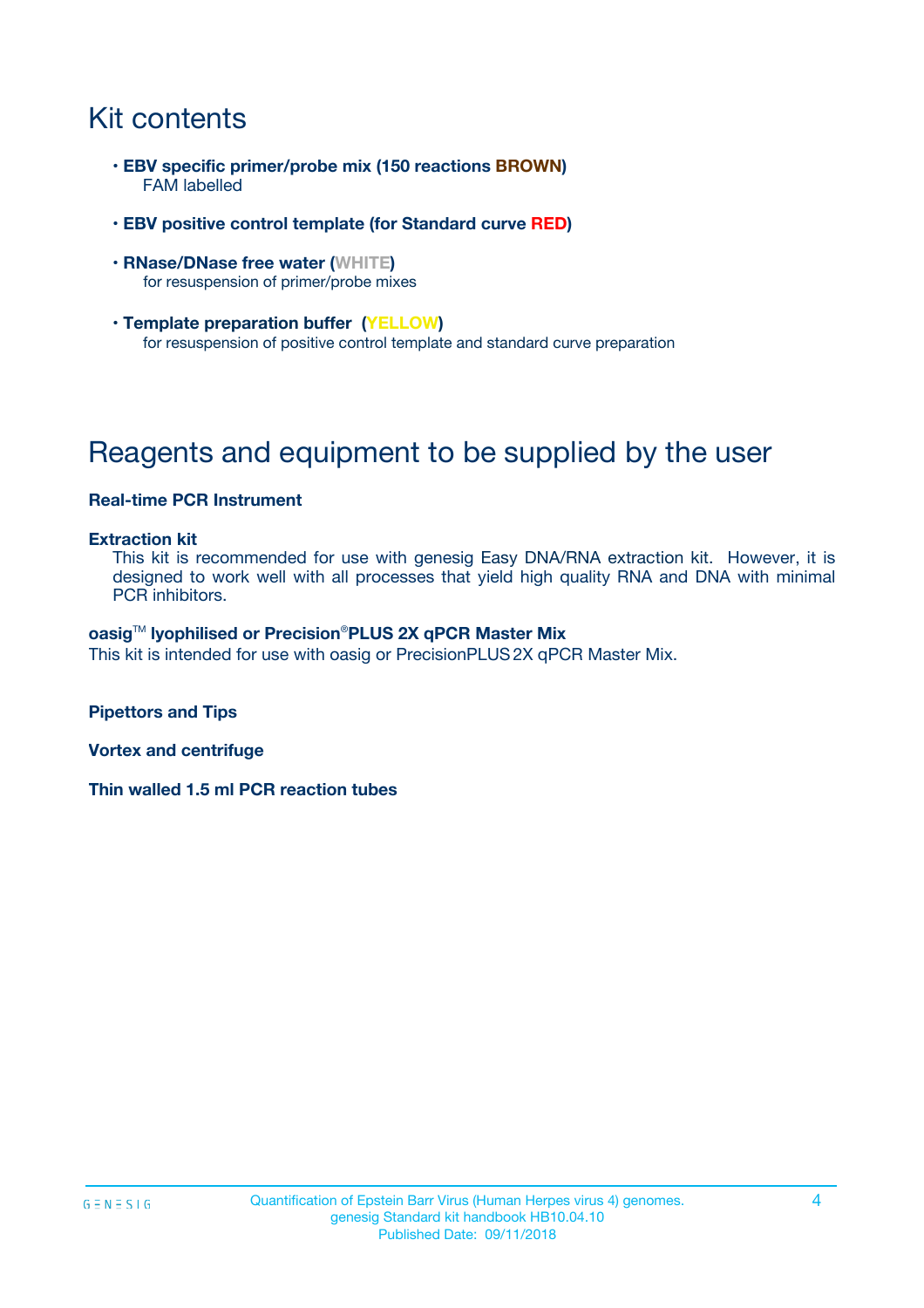# Kit contents

- **EBV specific primer/probe mix (150 reactions BROWN)** FAM labelled
- **EBV positive control template (for Standard curve RED)**
- **RNase/DNase free water (WHITE)** for resuspension of primer/probe mixes
- **Template preparation buffer (YELLOW)** for resuspension of positive control template and standard curve preparation

# Reagents and equipment to be supplied by the user

### **Real-time PCR Instrument**

#### **Extraction kit**

This kit is recommended for use with genesig Easy DNA/RNA extraction kit. However, it is designed to work well with all processes that yield high quality RNA and DNA with minimal PCR inhibitors.

#### **oasig**TM **lyophilised or Precision**®**PLUS 2X qPCR Master Mix**

This kit is intended for use with oasig or PrecisionPLUS2X qPCR Master Mix.

**Pipettors and Tips**

**Vortex and centrifuge**

**Thin walled 1.5 ml PCR reaction tubes**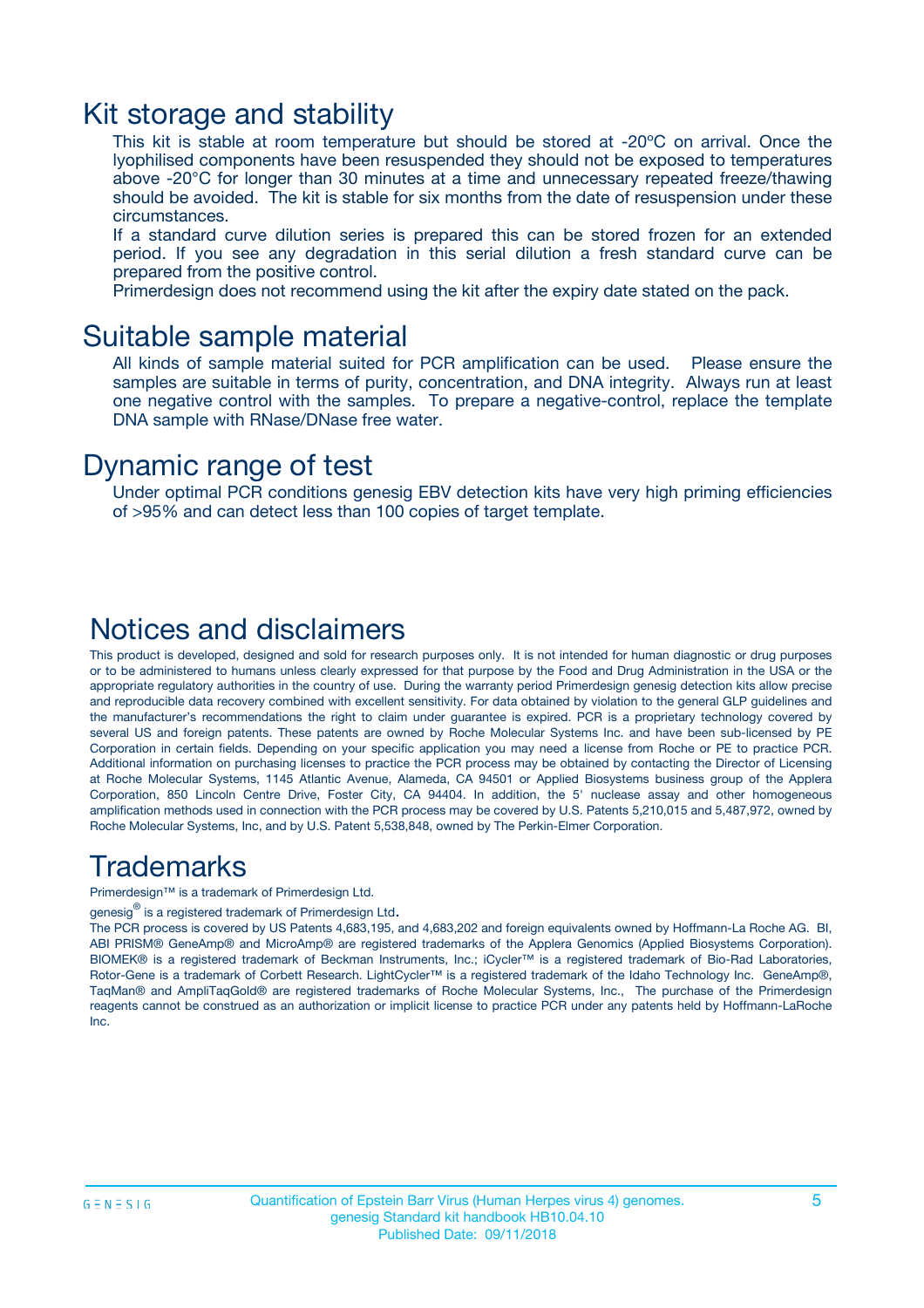### Kit storage and stability

This kit is stable at room temperature but should be stored at -20ºC on arrival. Once the lyophilised components have been resuspended they should not be exposed to temperatures above -20°C for longer than 30 minutes at a time and unnecessary repeated freeze/thawing should be avoided. The kit is stable for six months from the date of resuspension under these circumstances.

If a standard curve dilution series is prepared this can be stored frozen for an extended period. If you see any degradation in this serial dilution a fresh standard curve can be prepared from the positive control.

Primerdesign does not recommend using the kit after the expiry date stated on the pack.

### Suitable sample material

All kinds of sample material suited for PCR amplification can be used. Please ensure the samples are suitable in terms of purity, concentration, and DNA integrity. Always run at least one negative control with the samples. To prepare a negative-control, replace the template DNA sample with RNase/DNase free water.

### Dynamic range of test

Under optimal PCR conditions genesig EBV detection kits have very high priming efficiencies of >95% and can detect less than 100 copies of target template.

### Notices and disclaimers

This product is developed, designed and sold for research purposes only. It is not intended for human diagnostic or drug purposes or to be administered to humans unless clearly expressed for that purpose by the Food and Drug Administration in the USA or the appropriate regulatory authorities in the country of use. During the warranty period Primerdesign genesig detection kits allow precise and reproducible data recovery combined with excellent sensitivity. For data obtained by violation to the general GLP guidelines and the manufacturer's recommendations the right to claim under guarantee is expired. PCR is a proprietary technology covered by several US and foreign patents. These patents are owned by Roche Molecular Systems Inc. and have been sub-licensed by PE Corporation in certain fields. Depending on your specific application you may need a license from Roche or PE to practice PCR. Additional information on purchasing licenses to practice the PCR process may be obtained by contacting the Director of Licensing at Roche Molecular Systems, 1145 Atlantic Avenue, Alameda, CA 94501 or Applied Biosystems business group of the Applera Corporation, 850 Lincoln Centre Drive, Foster City, CA 94404. In addition, the 5' nuclease assay and other homogeneous amplification methods used in connection with the PCR process may be covered by U.S. Patents 5,210,015 and 5,487,972, owned by Roche Molecular Systems, Inc, and by U.S. Patent 5,538,848, owned by The Perkin-Elmer Corporation.

### Trademarks

Primerdesign™ is a trademark of Primerdesign Ltd.

genesig $^\circledR$  is a registered trademark of Primerdesign Ltd.

The PCR process is covered by US Patents 4,683,195, and 4,683,202 and foreign equivalents owned by Hoffmann-La Roche AG. BI, ABI PRISM® GeneAmp® and MicroAmp® are registered trademarks of the Applera Genomics (Applied Biosystems Corporation). BIOMEK® is a registered trademark of Beckman Instruments, Inc.; iCycler™ is a registered trademark of Bio-Rad Laboratories, Rotor-Gene is a trademark of Corbett Research. LightCycler™ is a registered trademark of the Idaho Technology Inc. GeneAmp®, TaqMan® and AmpliTaqGold® are registered trademarks of Roche Molecular Systems, Inc., The purchase of the Primerdesign reagents cannot be construed as an authorization or implicit license to practice PCR under any patents held by Hoffmann-LaRoche Inc.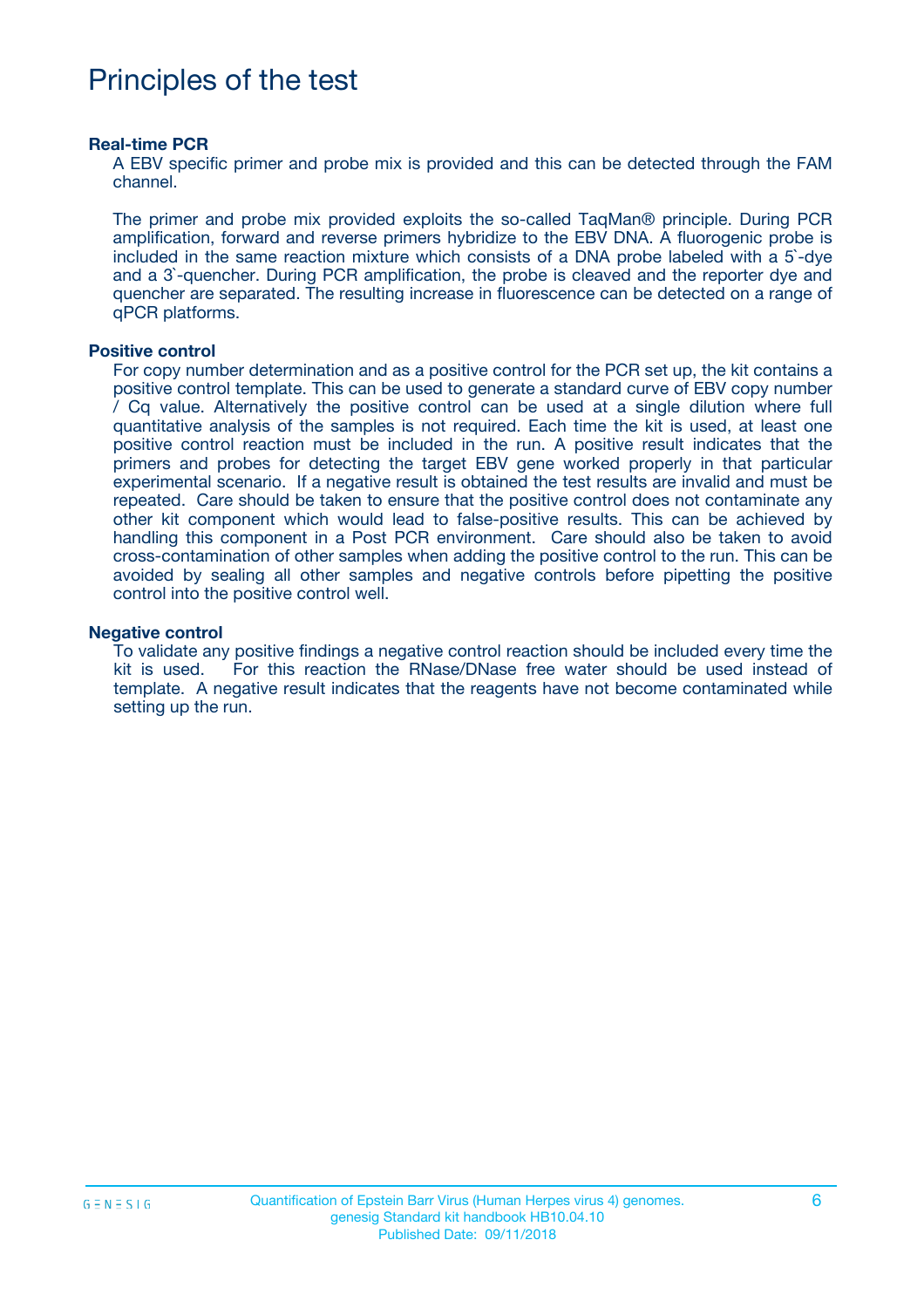# Principles of the test

#### **Real-time PCR**

A EBV specific primer and probe mix is provided and this can be detected through the FAM channel.

The primer and probe mix provided exploits the so-called TaqMan® principle. During PCR amplification, forward and reverse primers hybridize to the EBV DNA. A fluorogenic probe is included in the same reaction mixture which consists of a DNA probe labeled with a 5`-dye and a 3`-quencher. During PCR amplification, the probe is cleaved and the reporter dye and quencher are separated. The resulting increase in fluorescence can be detected on a range of qPCR platforms.

#### **Positive control**

For copy number determination and as a positive control for the PCR set up, the kit contains a positive control template. This can be used to generate a standard curve of EBV copy number / Cq value. Alternatively the positive control can be used at a single dilution where full quantitative analysis of the samples is not required. Each time the kit is used, at least one positive control reaction must be included in the run. A positive result indicates that the primers and probes for detecting the target EBV gene worked properly in that particular experimental scenario. If a negative result is obtained the test results are invalid and must be repeated. Care should be taken to ensure that the positive control does not contaminate any other kit component which would lead to false-positive results. This can be achieved by handling this component in a Post PCR environment. Care should also be taken to avoid cross-contamination of other samples when adding the positive control to the run. This can be avoided by sealing all other samples and negative controls before pipetting the positive control into the positive control well.

#### **Negative control**

To validate any positive findings a negative control reaction should be included every time the kit is used. For this reaction the RNase/DNase free water should be used instead of template. A negative result indicates that the reagents have not become contaminated while setting up the run.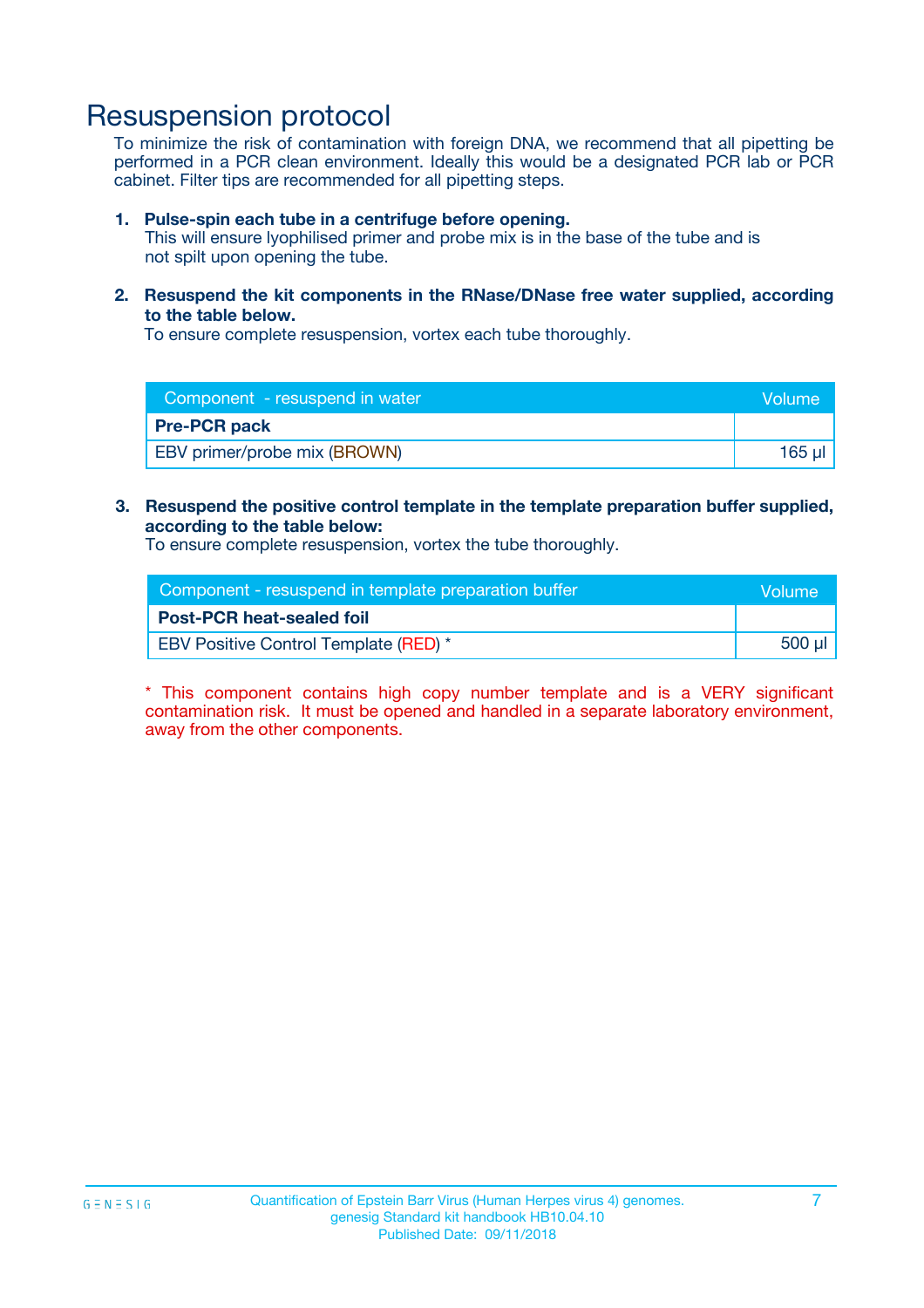## Resuspension protocol

To minimize the risk of contamination with foreign DNA, we recommend that all pipetting be performed in a PCR clean environment. Ideally this would be a designated PCR lab or PCR cabinet. Filter tips are recommended for all pipetting steps.

#### **1. Pulse-spin each tube in a centrifuge before opening.**

This will ensure lyophilised primer and probe mix is in the base of the tube and is not spilt upon opening the tube.

**2. Resuspend the kit components in the RNase/DNase free water supplied, according to the table below.**

To ensure complete resuspension, vortex each tube thoroughly.

| Component - resuspend in water      | <b>Nolume</b> |
|-------------------------------------|---------------|
| <b>Pre-PCR pack</b>                 |               |
| <b>EBV</b> primer/probe mix (BROWN) | $165$ $\mu$   |

**3. Resuspend the positive control template in the template preparation buffer supplied, according to the table below:**

To ensure complete resuspension, vortex the tube thoroughly.

| Component - resuspend in template preparation buffer |         |  |
|------------------------------------------------------|---------|--|
| <b>Post-PCR heat-sealed foil</b>                     |         |  |
| <b>EBV Positive Control Template (RED)</b> *         | .500 ul |  |

\* This component contains high copy number template and is a VERY significant contamination risk. It must be opened and handled in a separate laboratory environment, away from the other components.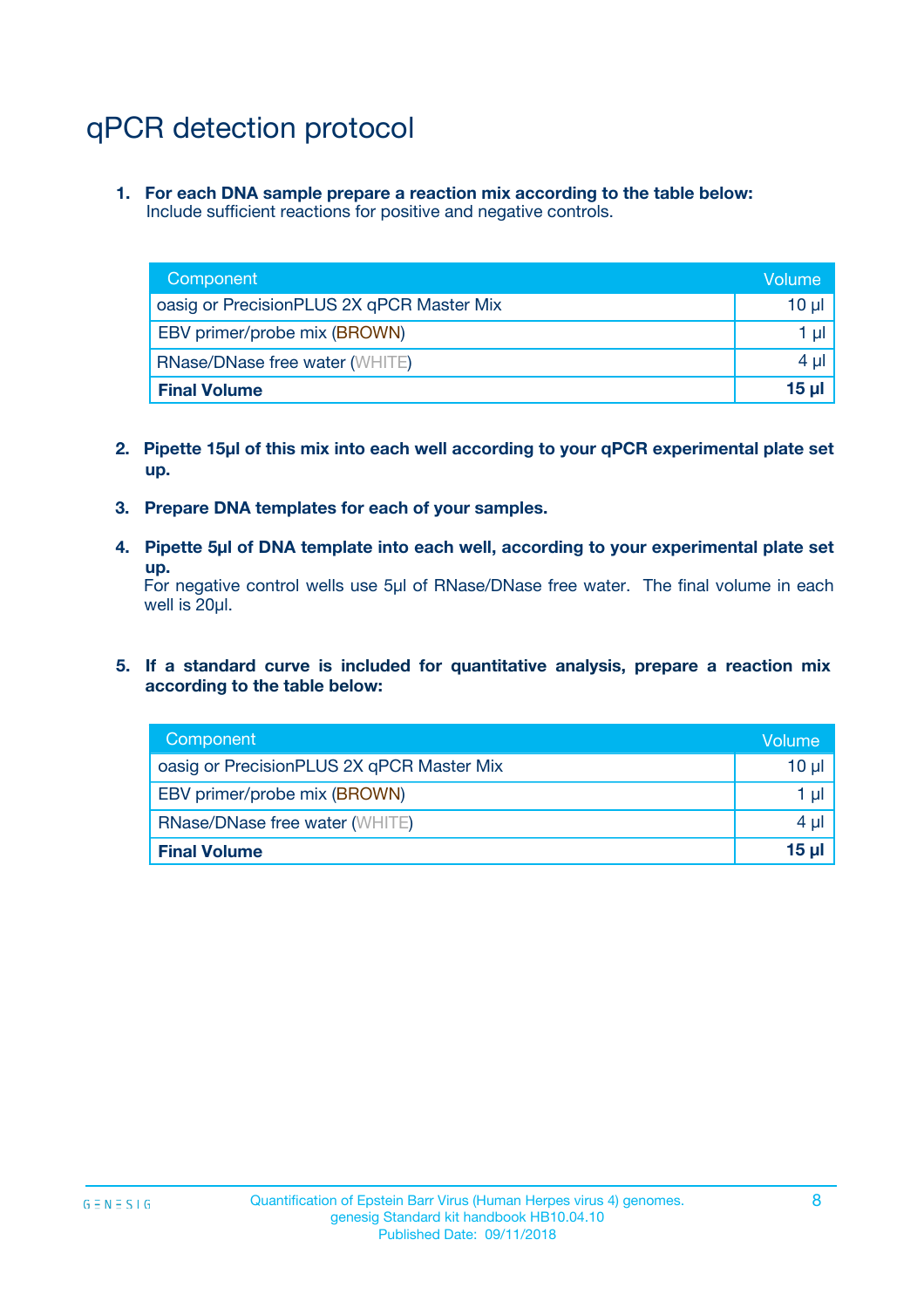# qPCR detection protocol

**1. For each DNA sample prepare a reaction mix according to the table below:** Include sufficient reactions for positive and negative controls.

| Component                                 | Volume          |
|-------------------------------------------|-----------------|
| oasig or PrecisionPLUS 2X qPCR Master Mix | 10 $\mu$        |
| EBV primer/probe mix (BROWN)              | 1 $\mu$         |
| <b>RNase/DNase free water (WHITE)</b>     | $4 \mu$         |
| <b>Final Volume</b>                       | 15 <sub>µ</sub> |

- **2. Pipette 15µl of this mix into each well according to your qPCR experimental plate set up.**
- **3. Prepare DNA templates for each of your samples.**
- **4. Pipette 5µl of DNA template into each well, according to your experimental plate set up.**

For negative control wells use 5µl of RNase/DNase free water. The final volume in each well is 20µl.

**5. If a standard curve is included for quantitative analysis, prepare a reaction mix according to the table below:**

| Component                                 | Volume          |
|-------------------------------------------|-----------------|
| oasig or PrecisionPLUS 2X qPCR Master Mix | 10 µl           |
| EBV primer/probe mix (BROWN)              | 1 µI            |
| <b>RNase/DNase free water (WHITE)</b>     | $4 \mu$         |
| <b>Final Volume</b>                       | 15 <sub>µ</sub> |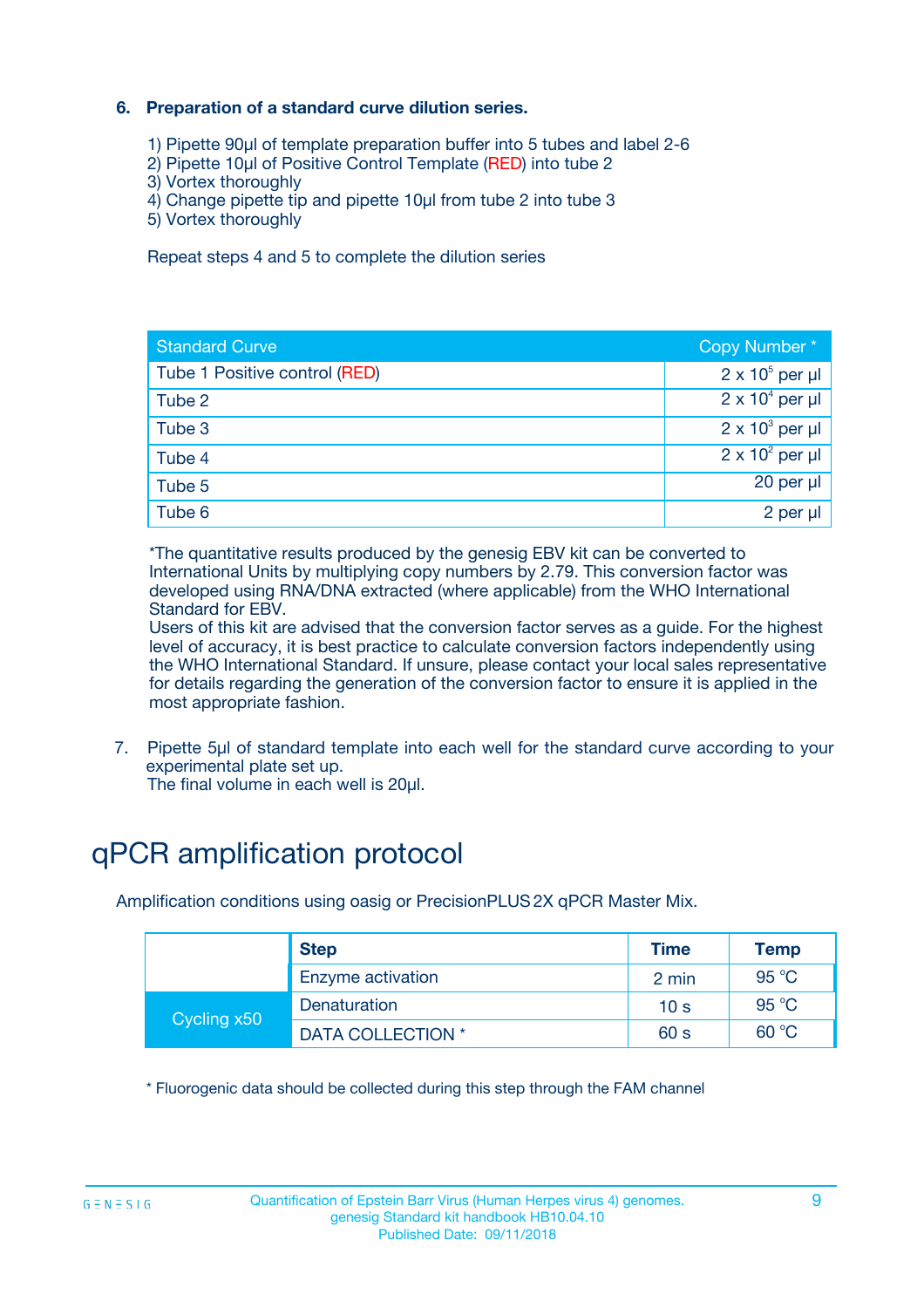### **6. Preparation of a standard curve dilution series.**

- 1) Pipette 90µl of template preparation buffer into 5 tubes and label 2-6
- 2) Pipette 10µl of Positive Control Template (RED) into tube 2
- 3) Vortex thoroughly
- 4) Change pipette tip and pipette 10µl from tube 2 into tube 3
- 5) Vortex thoroughly

Repeat steps 4 and 5 to complete the dilution series

| <b>Standard Curve</b>         | Copy Number*           |
|-------------------------------|------------------------|
| Tube 1 Positive control (RED) | $2 \times 10^5$ per µl |
| Tube 2                        | $2 \times 10^4$ per µl |
| Tube 3                        | $2 \times 10^3$ per µl |
| Tube 4                        | $2 \times 10^2$ per µl |
| Tube 5                        | 20 per $\mu$           |
| Tube 6                        | 2 per µl               |

\*The quantitative results produced by the genesig EBV kit can be converted to International Units by multiplying copy numbers by 2.79. This conversion factor was developed using RNA/DNA extracted (where applicable) from the WHO International Standard for EBV.

Users of this kit are advised that the conversion factor serves as a guide. For the highest level of accuracy, it is best practice to calculate conversion factors independently using the WHO International Standard. If unsure, please contact your local sales representative for details regarding the generation of the conversion factor to ensure it is applied in the most appropriate fashion.

7. Pipette 5µl of standard template into each well for the standard curve according to your experimental plate set up.

The final volume in each well is 20µl.

# qPCR amplification protocol

Amplification conditions using oasig or PrecisionPLUS2X qPCR Master Mix.

| <b>Step</b> |                   | <b>Time</b>     | <b>Temp</b> |
|-------------|-------------------|-----------------|-------------|
|             | Enzyme activation | 2 min           | 95 °C       |
| Cycling x50 | Denaturation      | 10 <sub>s</sub> | 95 $°C$     |
|             | DATA COLLECTION * | 60 s            | 60 °C       |

\* Fluorogenic data should be collected during this step through the FAM channel